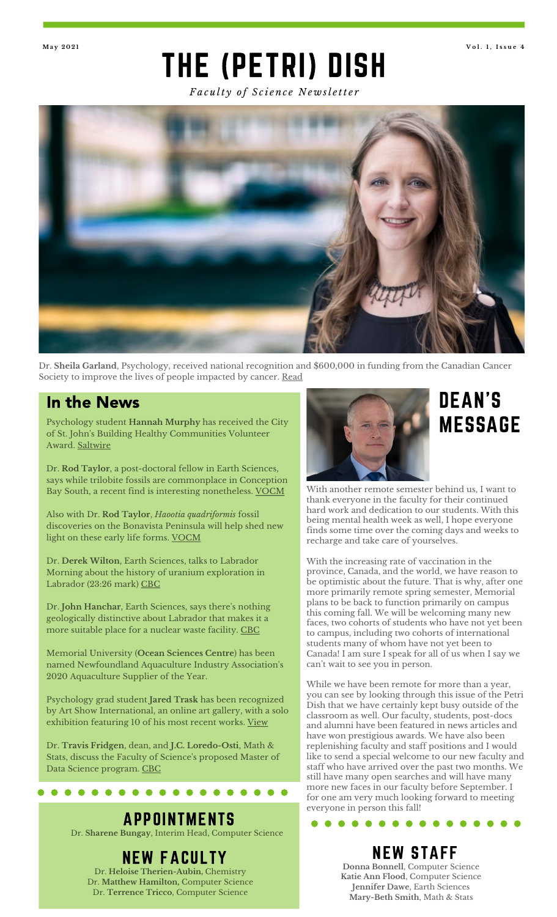## THE (PETRI) DISH **Ma y 2 0 2 1 V o l . 1 , I s s u e 4**

*Fa c u lt y o f S c i e n c e N e w sl e tt e r*



Dr. **Sheila Garland**, Psychology, received national recognition and \$600,000 in funding from the Canadian Cancer Society to improve the lives of people impacted by cancer. [Read](https://gazette.mun.ca/research/inaugural-recipient/)

### In the News

Psychology student **Hannah Murphy** has received the City of St. John 's Building Healthy Communities Volunteer Award. [Saltwire](https://www.saltwire.com/prince-edward-island/news/activity-and-activism-stand-out-for-st-johns-volunteer-award-100577897/)

Dr. **Rod Taylor**, a post-doctoral fellow in Earth Sciences, says while trilobite fossils are commonplace in Conception Bay South, a recent find is interesting nonetheless. [VOCM](https://vocm.com/2021/04/07/126483)

Also with Dr. **Rod Taylor**, *Haootia quadriformis* fossil discoveries on the Bonavista Peninsula will help shed new light on these early life forms. [VOCM](https://vocm.com/2021/04/16/nl-fossil-discovery-update/)

Dr. **Derek Wilton**, Earth Sciences, talks to Labrador Morning about the history of uranium exploration in Labrador (23:26 mark) [CBC](https://www.cbc.ca/listen/live-radio/1-31-labrador-morning/clip/15836475-closed-gym-in-rigolet-polar-bear-absence-uranium)

Dr. **John Hanchar**, Earth Sciences, says there ' s nothing geologically distinctive about Labrador that makes it a more suitable place for a nuclear waste facility. [CBC](https://www.cbc.ca/news/canada/newfoundland-labrador/labrador-nuclear-waste-reaction-1.5945614)

Memorial University (**Ocean Sciences Centre**) has been named Newfoundland Aquaculture Industry Association's 2020 Aquaculture Supplier of the Year.

Psychology grad student **Jared Trask** has been recognized by Art Show International, an online art gallery, with a solo exhibition featuring 10 of his most recent works. [View](https://www.artshowinternational.com/artists/jared-trask)

Dr. **Travis Fridgen**, dean, and **J.C. Loredo-Osti**, Math & Stats, discuss the Faculty of Science ' s proposed Master of Data Science program. [CBC](https://www.cbc.ca/news/canada/newfoundland-labrador/data-science-masters-proposed-mun-1.5954487)

#### . . . . . . . . . . . . .

## APPOINTMENTS

Dr. **Sharene Bungay**, Interim Head, Computer Science

## NEW FACULTY

Dr. **Heloise Therien-Aubin,** Chemistry Dr. **Matthew Hamilton,** Computer Science Dr. **Terrence Tricco**, Computer Science



## DEAN'S MESSAGE

With another remote semester behind us, I want to thank everyone in the faculty for their continued hard work and dedication to our students. With this being mental health week as well, I hope everyone finds some time over the coming days and weeks to recharge and take care of yourselves.

With the increasing rate of vaccination in the province, Canada, and the world, we have reason to be optimistic about the future. That is why, after one more primarily remote spring semester, Memorial plans to be back to function primarily on campus this coming fall. We will be welcoming many new faces, two cohorts of students who have not yet been to campus, including two cohorts of international students many of whom have not yet been to Canada! I am sure I speak for all of us when I say we can 't wait to see you in person.

While we have been remote for more than a year, you can see by looking through this issue of the Petri Dish that we have certainly kept busy outside of the classroom as well. Our faculty, students, post-docs and alumni have been featured in news articles and have won prestigious awards. We have also been replenishing faculty and staff positions and I would like to send a special welcome to our new faculty and staff who have arrived over the past two months. We still have many open searches and will have many more new faces in our faculty before September. I for one am very much looking forward to meeting everyone in person this fall!

NEW STAFF

 $\bullet$ 

. . . . . . .

**Donna Bonnell**, Computer Science **Katie Ann Flood**, Computer Science **Jennifer Dawe**, Earth Sciences **Mary-Beth Smith**, Math & Stats